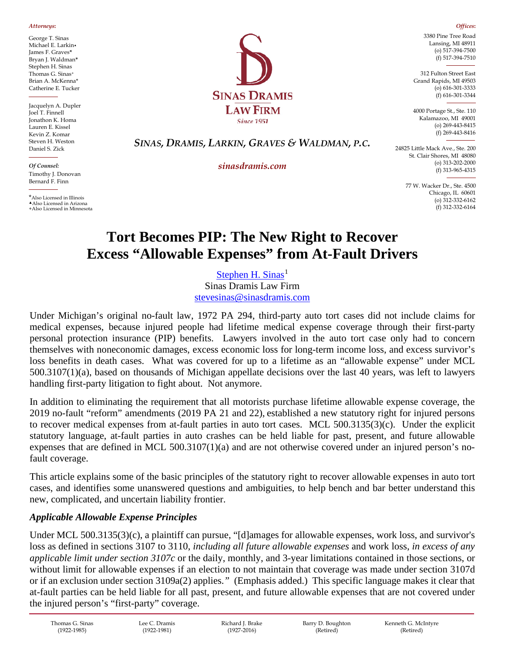*Attorneys***:**

George T. Sinas Michael E. Larkin▲ James F. Graves**\*** Bryan J. Waldman**\*** Stephen H. Sinas Thomas G. Sinas+ Brian A. McKenna\* Catherine E. Tucker

Jacquelyn A. Dupler Joel T. Finnell Jonathon K. Homa Lauren E. Kissel Kevin Z. Komar Steven H. Weston Daniel S. Zick

*Of Counsel:* Timothy J. Donovan Bernard F. Finn

\*Also Licensed in Illinois ▲Also Licensed in Arizona +Also Licensed in Minnesota



3380 Pine Tree Road Lansing, MI 48911 (o) 517-394-7500 (f) 517-394-7510

*Offices***:**

312 Fulton Street East Grand Rapids, MI 49503 (o) 616-301-3333 (f) 616-301-3344

4000 Portage St., Ste. 110 Kalamazoo, MI 49001 (o) 269-443-8415 (f) 269-443-8416

# *SINAS, DRAMIS, LARKIN, GRAVES & WALDMAN, P.C.*

*sinasdramis.com*

St. Clair Shores, MI 48080 (o) 313-202-2000 (f) 313-965-4315

24825 Little Mack Ave., Ste. 200

77 W. Wacker Dr., Ste. 4500 Chicago, IL 60601 (o) 312-332-6162 (f) 312-332-6164

# **Tort Becomes PIP: The New Right to Recover Excess "Allowable Expenses" from At-Fault Drivers**

[Stephen H. Sinas](https://sinasdramis.com/michigan-personal-injury-attorneys/lansing/steve-sinas/)<sup>[1](#page-7-0)</sup> Sinas Dramis Law Firm [stevesinas@sinasdramis.com](mailto:stevesinas@sinasdramis.com)

Under Michigan's original no-fault law, 1972 PA 294, third-party auto tort cases did not include claims for medical expenses, because injured people had lifetime medical expense coverage through their first-party personal protection insurance (PIP) benefits. Lawyers involved in the auto tort case only had to concern themselves with noneconomic damages, excess economic loss for long-term income loss, and excess survivor's loss benefits in death cases. What was covered for up to a lifetime as an "allowable expense" under MCL 500.3107(1)(a), based on thousands of Michigan appellate decisions over the last 40 years, was left to lawyers handling first-party litigation to fight about. Not anymore.

In addition to eliminating the requirement that all motorists purchase lifetime allowable expense coverage, the 2019 no-fault "reform" amendments (2019 PA 21 and 22), established a new statutory right for injured persons to recover medical expenses from at-fault parties in auto tort cases. MCL 500.3135(3)(c). Under the explicit statutory language, at-fault parties in auto crashes can be held liable for past, present, and future allowable expenses that are defined in MCL 500.3107(1)(a) and are not otherwise covered under an injured person's nofault coverage.

This article explains some of the basic principles of the statutory right to recover allowable expenses in auto tort cases, and identifies some unanswered questions and ambiguities, to help bench and bar better understand this new, complicated, and uncertain liability frontier.

# *Applicable Allowable Expense Principles*

Under MCL 500.3135(3)(c), a plaintiff can pursue, "[d]amages for allowable expenses, work loss, and survivor's loss as defined in sections 3107 to 3110, *including all future allowable expenses* and work loss, *in excess of any applicable limit under section 3107c* or the daily, monthly, and 3-year limitations contained in those sections, or without limit for allowable expenses if an election to not maintain that coverage was made under section 3107d or if an exclusion under section 3109a(2) applies.*"* (Emphasis added.) This specific language makes it clear that at-fault parties can be held liable for all past, present, and future allowable expenses that are not covered under the injured person's "first-party" coverage.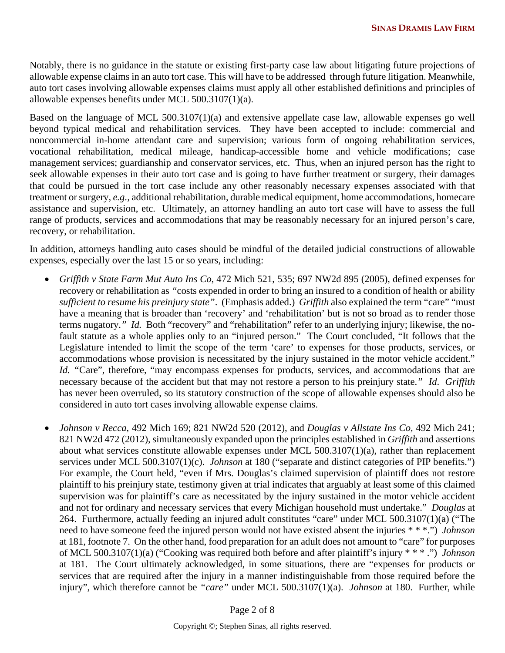Notably, there is no guidance in the statute or existing first-party case law about litigating future projections of allowable expense claims in an auto tort case. This will have to be addressed through future litigation. Meanwhile, auto tort cases involving allowable expenses claims must apply all other established definitions and principles of allowable expenses benefits under MCL 500.3107(1)(a).

Based on the language of MCL 500.3107(1)(a) and extensive appellate case law, allowable expenses go well beyond typical medical and rehabilitation services. They have been accepted to include: commercial and noncommercial in-home attendant care and supervision; various form of ongoing rehabilitation services, vocational rehabilitation, medical mileage, handicap-accessible home and vehicle modifications; case management services; guardianship and conservator services, etc. Thus, when an injured person has the right to seek allowable expenses in their auto tort case and is going to have further treatment or surgery, their damages that could be pursued in the tort case include any other reasonably necessary expenses associated with that treatment or surgery, *e.g.,* additional rehabilitation, durable medical equipment, home accommodations, homecare assistance and supervision, etc. Ultimately, an attorney handling an auto tort case will have to assess the full range of products, services and accommodations that may be reasonably necessary for an injured person's care, recovery, or rehabilitation.

In addition, attorneys handling auto cases should be mindful of the detailed judicial constructions of allowable expenses, especially over the last 15 or so years, including:

- *Griffith v State Farm Mut Auto Ins Co*, 472 Mich 521, 535; 697 NW2d 895 (2005), defined expenses for recovery or rehabilitation as *"*costs expended in order to bring an insured to a condition of health or ability *sufficient to resume his preinjury state"*. (Emphasis added.) *Griffith* also explained the term "care" "must have a meaning that is broader than 'recovery' and 'rehabilitation' but is not so broad as to render those terms nugatory.*" Id.* Both "recovery" and "rehabilitation" refer to an underlying injury; likewise, the nofault statute as a whole applies only to an "injured person." The Court concluded, "It follows that the Legislature intended to limit the scope of the term 'care' to expenses for those products, services, or accommodations whose provision is necessitated by the injury sustained in the motor vehicle accident." *Id.* "Care", therefore, "may encompass expenses for products, services, and accommodations that are necessary because of the accident but that may not restore a person to his preinjury state.*" Id*. *Griffith* has never been overruled, so its statutory construction of the scope of allowable expenses should also be considered in auto tort cases involving allowable expense claims.
- *Johnson v Recca*, 492 Mich 169; 821 NW2d 520 (2012), and *Douglas v Allstate Ins Co,* 492 Mich 241; 821 NW2d 472 (2012), simultaneously expanded upon the principles established in *Griffith* and assertions about what services constitute allowable expenses under MCL 500.3107(1)(a), rather than replacement services under MCL 500.3107(1)(c). *Johnson* at 180 ("separate and distinct categories of PIP benefits.") For example, the Court held, "even if Mrs. Douglas's claimed supervision of plaintiff does not restore plaintiff to his preinjury state, testimony given at trial indicates that arguably at least some of this claimed supervision was for plaintiff's care as necessitated by the injury sustained in the motor vehicle accident and not for ordinary and necessary services that every Michigan household must undertake." *Douglas* at 264. Furthermore, actually feeding an injured adult constitutes "care" under MCL 500.3107(1)(a) ("The need to have someone feed the injured person would not have existed absent the injuries \* \* \*.") *Johnson*  at 181, footnote 7. On the other hand, food preparation for an adult does not amount to "care" for purposes of MCL 500.3107(1)(a) ("Cooking was required both before and after plaintiff's injury \* \* \* .") *Johnson*  at 181. The Court ultimately acknowledged, in some situations, there are "expenses for products or services that are required after the injury in a manner indistinguishable from those required before the injury", which therefore cannot be *"care"* under MCL 500.3107(1)(a). *Johnson* at 180. Further, while

Page 2 of 8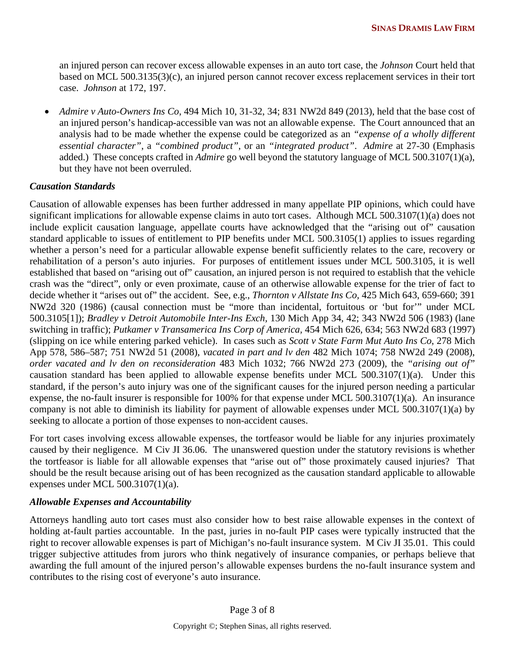an injured person can recover excess allowable expenses in an auto tort case, the *Johnson* Court held that based on MCL 500.3135(3)(c), an injured person cannot recover excess replacement services in their tort case. *Johnson* at 172, 197.

• *Admire v Auto-Owners Ins Co*, 494 Mich 10, 31-32, 34; 831 NW2d 849 (2013), held that the base cost of an injured person's handicap-accessible van was not an allowable expense. The Court announced that an analysis had to be made whether the expense could be categorized as an *"expense of a wholly different essential character"*, a *"combined product"*, or an *"integrated product"*. *Admire* at 27-30 (Emphasis added.) These concepts crafted in *Admire* go well beyond the statutory language of MCL 500.3107(1)(a), but they have not been overruled.

#### *Causation Standards*

Causation of allowable expenses has been further addressed in many appellate PIP opinions, which could have significant implications for allowable expense claims in auto tort cases. Although MCL 500.3107(1)(a) does not include explicit causation language, appellate courts have acknowledged that the "arising out of" causation standard applicable to issues of entitlement to PIP benefits under MCL 500.3105(1) applies to issues regarding whether a person's need for a particular allowable expense benefit sufficiently relates to the care, recovery or rehabilitation of a person's auto injuries. For purposes of entitlement issues under MCL 500.3105, it is well established that based on "arising out of" causation, an injured person is not required to establish that the vehicle crash was the "direct", only or even proximate, cause of an otherwise allowable expense for the trier of fact to decide whether it "arises out of" the accident. See, e.g., *Thornton v Allstate Ins Co,* 425 Mich 643, 659-660; 391 NW2d 320 (1986) (causal connection must be "more than incidental, fortuitous or 'but for'" under MCL 500.3105[1]); *Bradley v Detroit Automobile Inter-Ins Exch,* 130 Mich App 34, 42; 343 NW2d 506 (1983) (lane switching in traffic); *Putkamer v Transamerica Ins Corp of America,* 454 Mich 626, 634; 563 NW2d 683 (1997) (slipping on ice while entering parked vehicle). In cases such as *Scott v State Farm Mut Auto Ins Co*, 278 Mich App 578, 586–587; 751 NW2d 51 (2008), *vacated in part and lv den* 482 Mich 1074; 758 NW2d 249 (2008), *order vacated and lv den on reconsideration* 483 Mich 1032; 766 NW2d 273 (2009), the *"arising out of"* causation standard has been applied to allowable expense benefits under MCL 500.3107(1)(a). Under this standard, if the person's auto injury was one of the significant causes for the injured person needing a particular expense, the no-fault insurer is responsible for 100% for that expense under MCL 500.3107(1)(a). An insurance company is not able to diminish its liability for payment of allowable expenses under MCL 500.3107(1)(a) by seeking to allocate a portion of those expenses to non-accident causes.

For tort cases involving excess allowable expenses, the tortfeasor would be liable for any injuries proximately caused by their negligence. M Civ JI 36.06. The unanswered question under the statutory revisions is whether the tortfeasor is liable for all allowable expenses that "arise out of" those proximately caused injuries? That should be the result because arising out of has been recognized as the causation standard applicable to allowable expenses under MCL 500.3107(1)(a).

#### *Allowable Expenses and Accountability*

Attorneys handling auto tort cases must also consider how to best raise allowable expenses in the context of holding at-fault parties accountable. In the past, juries in no-fault PIP cases were typically instructed that the right to recover allowable expenses is part of Michigan's no-fault insurance system. M Civ JI 35.01. This could trigger subjective attitudes from jurors who think negatively of insurance companies, or perhaps believe that awarding the full amount of the injured person's allowable expenses burdens the no-fault insurance system and contributes to the rising cost of everyone's auto insurance.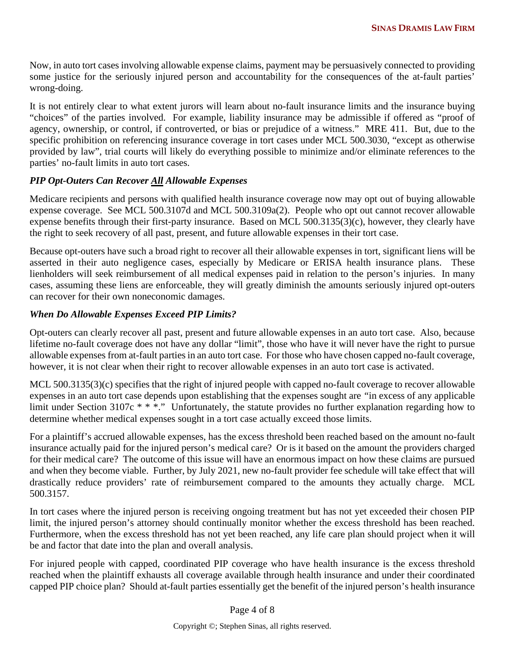Now, in auto tort cases involving allowable expense claims, payment may be persuasively connected to providing some justice for the seriously injured person and accountability for the consequences of the at-fault parties' wrong-doing.

It is not entirely clear to what extent jurors will learn about no-fault insurance limits and the insurance buying "choices" of the parties involved. For example, liability insurance may be admissible if offered as "proof of agency, ownership, or control, if controverted, or bias or prejudice of a witness." MRE 411. But, due to the specific prohibition on referencing insurance coverage in tort cases under MCL 500.3030, "except as otherwise provided by law", trial courts will likely do everything possible to minimize and/or eliminate references to the parties' no-fault limits in auto tort cases.

#### *PIP Opt-Outers Can Recover All Allowable Expenses*

Medicare recipients and persons with qualified health insurance coverage now may opt out of buying allowable expense coverage. See MCL 500.3107d and MCL 500.3109a(2). People who opt out cannot recover allowable expense benefits through their first-party insurance. Based on MCL 500.3135(3)(c), however, they clearly have the right to seek recovery of all past, present, and future allowable expenses in their tort case.

Because opt-outers have such a broad right to recover all their allowable expenses in tort, significant liens will be asserted in their auto negligence cases, especially by Medicare or ERISA health insurance plans. These lienholders will seek reimbursement of all medical expenses paid in relation to the person's injuries. In many cases, assuming these liens are enforceable, they will greatly diminish the amounts seriously injured opt-outers can recover for their own noneconomic damages.

## *When Do Allowable Expenses Exceed PIP Limits?*

Opt-outers can clearly recover all past, present and future allowable expenses in an auto tort case. Also, because lifetime no-fault coverage does not have any dollar "limit", those who have it will never have the right to pursue allowable expenses from at-fault parties in an auto tort case. For those who have chosen capped no-fault coverage, however, it is not clear when their right to recover allowable expenses in an auto tort case is activated.

MCL 500.3135(3)(c) specifies that the right of injured people with capped no-fault coverage to recover allowable expenses in an auto tort case depends upon establishing that the expenses sought are *"*in excess of any applicable limit under Section 3107c \* \* \*." Unfortunately, the statute provides no further explanation regarding how to determine whether medical expenses sought in a tort case actually exceed those limits.

For a plaintiff's accrued allowable expenses, has the excess threshold been reached based on the amount no-fault insurance actually paid for the injured person's medical care? Or is it based on the amount the providers charged for their medical care? The outcome of this issue will have an enormous impact on how these claims are pursued and when they become viable. Further, by July 2021, new no-fault provider fee schedule will take effect that will drastically reduce providers' rate of reimbursement compared to the amounts they actually charge. MCL 500.3157.

In tort cases where the injured person is receiving ongoing treatment but has not yet exceeded their chosen PIP limit, the injured person's attorney should continually monitor whether the excess threshold has been reached. Furthermore, when the excess threshold has not yet been reached, any life care plan should project when it will be and factor that date into the plan and overall analysis.

For injured people with capped, coordinated PIP coverage who have health insurance is the excess threshold reached when the plaintiff exhausts all coverage available through health insurance and under their coordinated capped PIP choice plan? Should at-fault parties essentially get the benefit of the injured person's health insurance

Page 4 of 8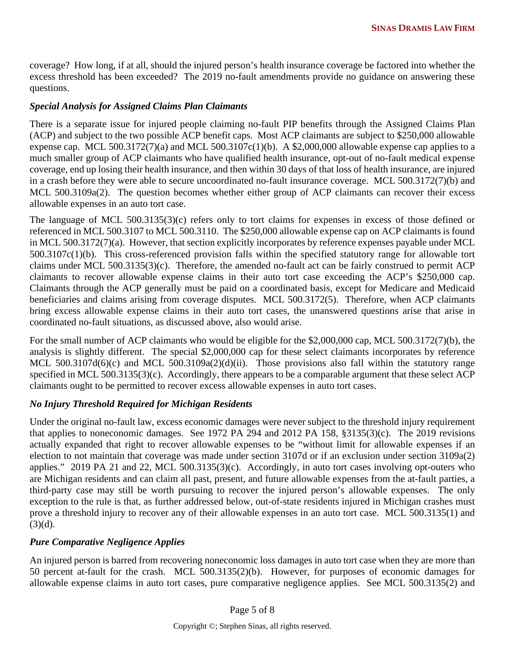coverage? How long, if at all, should the injured person's health insurance coverage be factored into whether the excess threshold has been exceeded? The 2019 no-fault amendments provide no guidance on answering these questions.

#### *Special Analysis for Assigned Claims Plan Claimants*

There is a separate issue for injured people claiming no-fault PIP benefits through the Assigned Claims Plan (ACP) and subject to the two possible ACP benefit caps. Most ACP claimants are subject to \$250,000 allowable expense cap. MCL 500.3172(7)(a) and MCL 500.3107 $c(1)$ (b). A \$2,000,000 allowable expense cap applies to a much smaller group of ACP claimants who have qualified health insurance, opt-out of no-fault medical expense coverage, end up losing their health insurance, and then within 30 days of that loss of health insurance, are injured in a crash before they were able to secure uncoordinated no-fault insurance coverage. MCL 500.3172(7)(b) and MCL 500.3109a(2). The question becomes whether either group of ACP claimants can recover their excess allowable expenses in an auto tort case.

The language of MCL 500.3135(3)(c) refers only to tort claims for expenses in excess of those defined or referenced in MCL 500.3107 to MCL 500.3110. The \$250,000 allowable expense cap on ACP claimants is found in MCL 500.3172(7)(a). However, that section explicitly incorporates by reference expenses payable under MCL 500.3107c(1)(b). This cross-referenced provision falls within the specified statutory range for allowable tort claims under MCL 500.3135(3)(c). Therefore, the amended no-fault act can be fairly construed to permit ACP claimants to recover allowable expense claims in their auto tort case exceeding the ACP's \$250,000 cap. Claimants through the ACP generally must be paid on a coordinated basis, except for Medicare and Medicaid beneficiaries and claims arising from coverage disputes. MCL 500.3172(5). Therefore, when ACP claimants bring excess allowable expense claims in their auto tort cases, the unanswered questions arise that arise in coordinated no-fault situations, as discussed above, also would arise.

For the small number of ACP claimants who would be eligible for the \$2,000,000 cap, MCL 500.3172(7)(b), the analysis is slightly different. The special \$2,000,000 cap for these select claimants incorporates by reference MCL 500.3107d(6)(c) and MCL 500.3109a(2)(d)(ii). Those provisions also fall within the statutory range specified in MCL 500.3135(3)(c). Accordingly, there appears to be a comparable argument that these select ACP claimants ought to be permitted to recover excess allowable expenses in auto tort cases.

#### *No Injury Threshold Required for Michigan Residents*

Under the original no-fault law, excess economic damages were never subject to the threshold injury requirement that applies to noneconomic damages. See 1972 PA 294 and 2012 PA 158, §3135(3)(c). The 2019 revisions actually expanded that right to recover allowable expenses to be "without limit for allowable expenses if an election to not maintain that coverage was made under section 3107d or if an exclusion under section 3109a(2) applies." 2019 PA 21 and 22, MCL 500.3135(3)(c). Accordingly, in auto tort cases involving opt-outers who are Michigan residents and can claim all past, present, and future allowable expenses from the at-fault parties, a third-party case may still be worth pursuing to recover the injured person's allowable expenses. The only exception to the rule is that, as further addressed below, out-of-state residents injured in Michigan crashes must prove a threshold injury to recover any of their allowable expenses in an auto tort case. MCL 500.3135(1) and  $(3)(d)$ .

#### *Pure Comparative Negligence Applies*

An injured person is barred from recovering noneconomic loss damages in auto tort case when they are more than 50 percent at-fault for the crash. MCL 500.3135(2)(b). However, for purposes of economic damages for allowable expense claims in auto tort cases, pure comparative negligence applies. See MCL 500.3135(2) and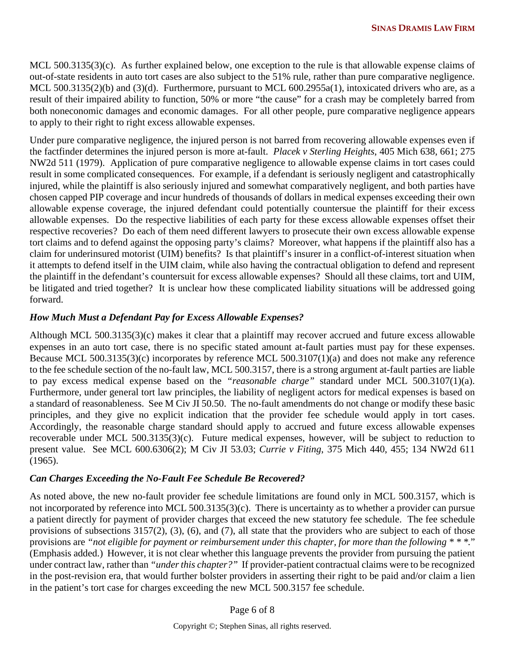MCL 500.3135(3)(c). As further explained below, one exception to the rule is that allowable expense claims of out-of-state residents in auto tort cases are also subject to the 51% rule, rather than pure comparative negligence. MCL 500.3135(2)(b) and (3)(d). Furthermore, pursuant to MCL 600.2955a(1), intoxicated drivers who are, as a result of their impaired ability to function, 50% or more "the cause" for a crash may be completely barred from both noneconomic damages and economic damages. For all other people, pure comparative negligence appears to apply to their right to right excess allowable expenses.

Under pure comparative negligence, the injured person is not barred from recovering allowable expenses even if the factfinder determines the injured person is more at-fault. *Placek v Sterling Heights*, 405 Mich 638, 661; 275 NW2d 511 (1979). Application of pure comparative negligence to allowable expense claims in tort cases could result in some complicated consequences. For example, if a defendant is seriously negligent and catastrophically injured, while the plaintiff is also seriously injured and somewhat comparatively negligent, and both parties have chosen capped PIP coverage and incur hundreds of thousands of dollars in medical expenses exceeding their own allowable expense coverage, the injured defendant could potentially countersue the plaintiff for their excess allowable expenses. Do the respective liabilities of each party for these excess allowable expenses offset their respective recoveries? Do each of them need different lawyers to prosecute their own excess allowable expense tort claims and to defend against the opposing party's claims? Moreover, what happens if the plaintiff also has a claim for underinsured motorist (UIM) benefits? Is that plaintiff's insurer in a conflict-of-interest situation when it attempts to defend itself in the UIM claim, while also having the contractual obligation to defend and represent the plaintiff in the defendant's countersuit for excess allowable expenses? Should all these claims, tort and UIM, be litigated and tried together? It is unclear how these complicated liability situations will be addressed going forward.

#### *How Much Must a Defendant Pay for Excess Allowable Expenses?*

Although MCL 500.3135(3)(c) makes it clear that a plaintiff may recover accrued and future excess allowable expenses in an auto tort case, there is no specific stated amount at-fault parties must pay for these expenses. Because MCL 500.3135(3)(c) incorporates by reference MCL 500.3107(1)(a) and does not make any reference to the fee schedule section of the no-fault law, MCL 500.3157, there is a strong argument at-fault parties are liable to pay excess medical expense based on the *"reasonable charge"* standard under MCL 500.3107(1)(a). Furthermore, under general tort law principles, the liability of negligent actors for medical expenses is based on a standard of reasonableness. See M Civ JI 50.50. The no-fault amendments do not change or modify these basic principles, and they give no explicit indication that the provider fee schedule would apply in tort cases. Accordingly, the reasonable charge standard should apply to accrued and future excess allowable expenses recoverable under MCL 500.3135(3)(c). Future medical expenses, however, will be subject to reduction to present value. See MCL 600.6306(2); M Civ JI 53.03; *Currie v Fiting*, 375 Mich 440, 455; 134 NW2d 611 (1965).

#### *Can Charges Exceeding the No-Fault Fee Schedule Be Recovered?*

As noted above, the new no-fault provider fee schedule limitations are found only in MCL 500.3157, which is not incorporated by reference into MCL 500.3135(3)(c). There is uncertainty as to whether a provider can pursue a patient directly for payment of provider charges that exceed the new statutory fee schedule. The fee schedule provisions of subsections 3157(2), (3), (6), and (7), all state that the providers who are subject to each of those provisions are *"not eligible for payment or reimbursement under this chapter, for more than the following \* \* \*.*" (Emphasis added.) However, it is not clear whether this language prevents the provider from pursuing the patient under contract law, rather than *"under this chapter?"* If provider-patient contractual claims were to be recognized in the post-revision era, that would further bolster providers in asserting their right to be paid and/or claim a lien in the patient's tort case for charges exceeding the new MCL 500.3157 fee schedule.

Page 6 of 8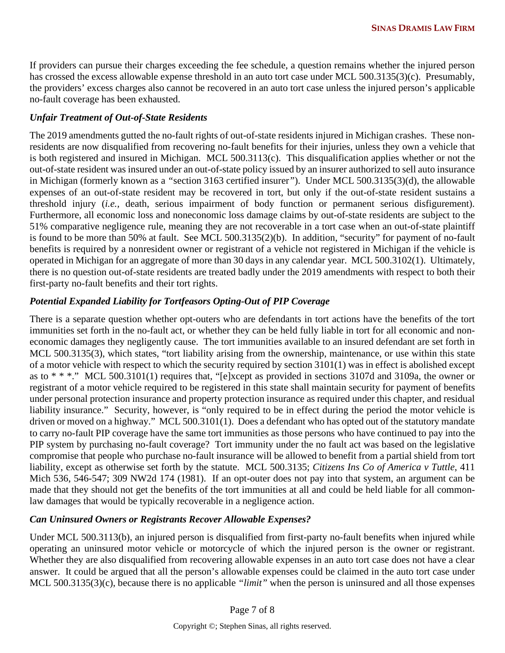If providers can pursue their charges exceeding the fee schedule, a question remains whether the injured person has crossed the excess allowable expense threshold in an auto tort case under MCL 500.3135(3)(c). Presumably, the providers' excess charges also cannot be recovered in an auto tort case unless the injured person's applicable no-fault coverage has been exhausted.

#### *Unfair Treatment of Out-of-State Residents*

The 2019 amendments gutted the no-fault rights of out-of-state residents injured in Michigan crashes. These nonresidents are now disqualified from recovering no-fault benefits for their injuries, unless they own a vehicle that is both registered and insured in Michigan. MCL 500.3113(c). This disqualification applies whether or not the out-of-state resident was insured under an out-of-state policy issued by an insurer authorized to sell auto insurance in Michigan (formerly known as a *"*section 3163 certified insurer*"*). Under MCL 500.3135(3)(d), the allowable expenses of an out-of-state resident may be recovered in tort, but only if the out-of-state resident sustains a threshold injury (*i.e.,* death, serious impairment of body function or permanent serious disfigurement). Furthermore, all economic loss and noneconomic loss damage claims by out-of-state residents are subject to the 51% comparative negligence rule, meaning they are not recoverable in a tort case when an out-of-state plaintiff is found to be more than 50% at fault. See MCL 500.3135(2)(b). In addition, "security" for payment of no-fault benefits is required by a nonresident owner or registrant of a vehicle not registered in Michigan if the vehicle is operated in Michigan for an aggregate of more than 30 days in any calendar year. MCL 500.3102(1). Ultimately, there is no question out-of-state residents are treated badly under the 2019 amendments with respect to both their first-party no-fault benefits and their tort rights.

## *Potential Expanded Liability for Tortfeasors Opting-Out of PIP Coverage*

There is a separate question whether opt-outers who are defendants in tort actions have the benefits of the tort immunities set forth in the no-fault act, or whether they can be held fully liable in tort for all economic and noneconomic damages they negligently cause. The tort immunities available to an insured defendant are set forth in MCL 500.3135(3), which states, "tort liability arising from the ownership, maintenance, or use within this state of a motor vehicle with respect to which the security required by section 3101(1) was in effect is abolished except as to \* \* \*." MCL 500.3101(1) requires that, "[e]xcept as provided in sections 3107d and 3109a, the owner or registrant of a motor vehicle required to be registered in this state shall maintain security for payment of benefits under personal protection insurance and property protection insurance as required under this chapter, and residual liability insurance." Security, however, is "only required to be in effect during the period the motor vehicle is driven or moved on a highway." MCL 500.3101(1). Does a defendant who has opted out of the statutory mandate to carry no-fault PIP coverage have the same tort immunities as those persons who have continued to pay into the PIP system by purchasing no-fault coverage? Tort immunity under the no fault act was based on the legislative compromise that people who purchase no-fault insurance will be allowed to benefit from a partial shield from tort liability, except as otherwise set forth by the statute. MCL 500.3135; *Citizens Ins Co of America v Tuttle*, 411 Mich 536, 546-547; 309 NW2d 174 (1981). If an opt-outer does not pay into that system, an argument can be made that they should not get the benefits of the tort immunities at all and could be held liable for all commonlaw damages that would be typically recoverable in a negligence action.

#### *Can Uninsured Owners or Registrants Recover Allowable Expenses?*

Under MCL 500.3113(b), an injured person is disqualified from first-party no-fault benefits when injured while operating an uninsured motor vehicle or motorcycle of which the injured person is the owner or registrant. Whether they are also disqualified from recovering allowable expenses in an auto tort case does not have a clear answer. It could be argued that all the person's allowable expenses could be claimed in the auto tort case under MCL 500.3135(3)(c), because there is no applicable *"limit"* when the person is uninsured and all those expenses